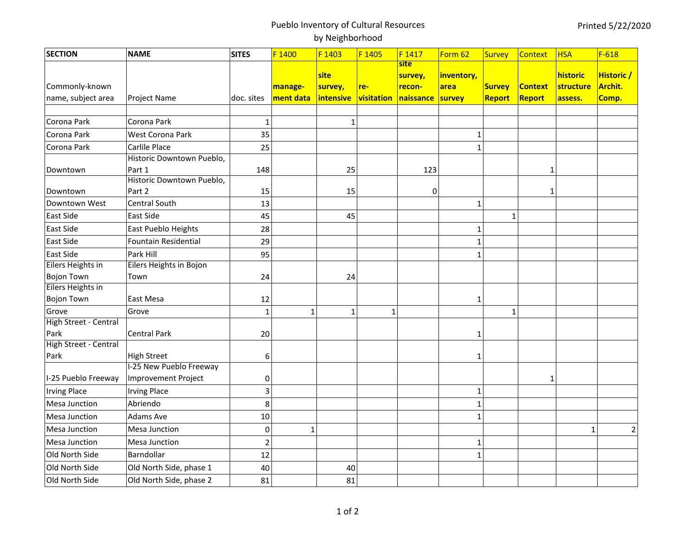## Pueblo Inventory of Cultural Resources by Neighborhood

| <b>SECTION</b>        | <b>NAME</b>                | <b>SITES</b>            | F 1400       | F 1403       | F 1405         | F1417     | Form 62      | <b>Survey</b> | Context        | <b>HSA</b> | $F-618$        |
|-----------------------|----------------------------|-------------------------|--------------|--------------|----------------|-----------|--------------|---------------|----------------|------------|----------------|
|                       |                            |                         |              |              |                | site      |              |               |                |            |                |
|                       |                            |                         |              | site         |                | survey,   | inventory,   |               |                | historic   | Historic /     |
| Commonly-known        |                            |                         | manage-      | survey,      | re-            | recon-    | area         | <b>Survey</b> | <b>Context</b> | structure  | Archit.        |
| name, subject area    | <b>Project Name</b>        | doc. sites              | ment data    | intensive    | visitation     | naissance | survey       | Report        | Report         | assess.    | Comp.          |
| Corona Park           | Corona Park                |                         |              |              |                |           |              |               |                |            |                |
|                       |                            | $\mathbf{1}$            |              | $\mathbf{1}$ |                |           |              |               |                |            |                |
| Corona Park           | <b>West Corona Park</b>    | 35                      |              |              |                |           | $\mathbf{1}$ |               |                |            |                |
| Corona Park           | Carlile Place              | 25                      |              |              |                |           | $\mathbf{1}$ |               |                |            |                |
|                       | Historic Downtown Pueblo,  |                         |              |              |                |           |              |               |                |            |                |
| Downtown              | Part 1                     | 148                     |              | 25           |                | 123       |              |               | 1              |            |                |
|                       | Historic Downtown Pueblo,  |                         |              |              |                |           |              |               |                |            |                |
| Downtown              | Part 2                     | 15                      |              | 15           |                | 0         |              |               | 1              |            |                |
| Downtown West         | Central South              | 13                      |              |              |                |           | $\mathbf{1}$ |               |                |            |                |
| East Side             | East Side                  | 45                      |              | 45           |                |           |              | $\mathbf{1}$  |                |            |                |
| East Side             | East Pueblo Heights        | 28                      |              |              |                |           | $\mathbf{1}$ |               |                |            |                |
| East Side             | Fountain Residential       | 29                      |              |              |                |           | $\mathbf{1}$ |               |                |            |                |
| East Side             | Park Hill                  | 95                      |              |              |                |           | 1            |               |                |            |                |
| Eilers Heights in     | Eilers Heights in Bojon    |                         |              |              |                |           |              |               |                |            |                |
| <b>Bojon Town</b>     | Town                       | 24                      |              | 24           |                |           |              |               |                |            |                |
| Eilers Heights in     |                            |                         |              |              |                |           |              |               |                |            |                |
| <b>Bojon Town</b>     | East Mesa                  | 12                      |              |              |                |           | 1            |               |                |            |                |
| Grove                 | Grove                      | $\mathbf{1}$            | $\mathbf{1}$ | $\mathbf{1}$ | $\overline{1}$ |           |              | $\mathbf{1}$  |                |            |                |
| High Street - Central |                            |                         |              |              |                |           |              |               |                |            |                |
| Park                  | <b>Central Park</b>        | 20                      |              |              |                |           | 1            |               |                |            |                |
| High Street - Central |                            |                         |              |              |                |           |              |               |                |            |                |
| Park                  | <b>High Street</b>         | 6                       |              |              |                |           | 1            |               |                |            |                |
|                       | I-25 New Pueblo Freeway    |                         |              |              |                |           |              |               |                |            |                |
| I-25 Pueblo Freeway   | <b>Improvement Project</b> | 0                       |              |              |                |           |              |               | 1              |            |                |
| <b>Irving Place</b>   | <b>Irving Place</b>        | $\overline{\mathbf{3}}$ |              |              |                |           | $\mathbf{1}$ |               |                |            |                |
| Mesa Junction         | Abriendo                   | 8                       |              |              |                |           | $\mathbf{1}$ |               |                |            |                |
| Mesa Junction         | Adams Ave                  | 10                      |              |              |                |           | $\mathbf{1}$ |               |                |            |                |
| <b>Mesa Junction</b>  | <b>Mesa Junction</b>       | $\mathbf 0$             | 1            |              |                |           |              |               |                | 1          | $\overline{2}$ |
| <b>Mesa Junction</b>  | Mesa Junction              | $\overline{2}$          |              |              |                |           | $\mathbf{1}$ |               |                |            |                |
| Old North Side        | Barndollar                 | 12                      |              |              |                |           | $\mathbf{1}$ |               |                |            |                |
| Old North Side        | Old North Side, phase 1    | 40                      |              | 40           |                |           |              |               |                |            |                |
| Old North Side        | Old North Side, phase 2    | 81                      |              | 81           |                |           |              |               |                |            |                |